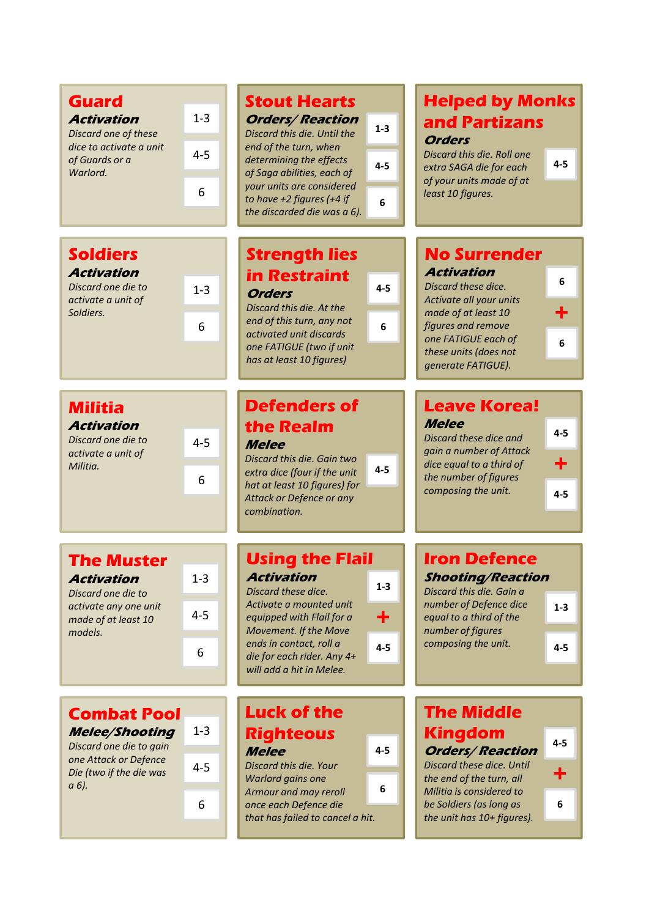| <b>Guard</b><br><b>Activation</b><br>Discard one of these<br>dice to activate a unit<br>of Guards or a<br>Warlord.                  | $1-3$<br>$4 - 5$<br>6   | <b>Stout Hearts</b><br><b>Orders/Reaction</b><br>$1 - 3$<br>Discard this die. Until the<br>end of the turn, when<br>determining the effects<br>$4 - 5$<br>of Saga abilities, each of<br>your units are considered<br>to have $+2$ figures (+4 if<br>6<br>the discarded die was a 6). | <b>Helped by Monks</b><br>and Partizans<br><b>Orders</b><br>Discard this die. Roll one<br>$4 - 5$<br>extra SAGA die for each<br>of your units made of at<br>least 10 figures.                                                                   |
|-------------------------------------------------------------------------------------------------------------------------------------|-------------------------|--------------------------------------------------------------------------------------------------------------------------------------------------------------------------------------------------------------------------------------------------------------------------------------|-------------------------------------------------------------------------------------------------------------------------------------------------------------------------------------------------------------------------------------------------|
| <b>Soldiers</b><br><b>Activation</b><br>Discard one die to<br>activate a unit of<br>Soldiers.                                       | $1-3$<br>6              | <b>Strength lies</b><br><b>in Restraint</b><br>$4 - 5$<br><b>Orders</b><br>Discard this die. At the<br>end of this turn, any not<br>6<br>activated unit discards<br>one FATIGUE (two if unit<br>has at least 10 figures)                                                             | <b>No Surrender</b><br><b>Activation</b><br>6<br>Discard these dice.<br>Activate all your units<br>۰<br>made of at least 10<br>figures and remove<br>one FATIGUE each of<br>6<br>these units (does not<br>generate FATIGUE).                    |
| <b>Militia</b><br><b>Activation</b><br>Discard one die to<br>activate a unit of<br>Militia.                                         | $4 - 5$<br>6            | <b>Defenders of</b><br>the Realm<br><b>Melee</b><br>Discard this die. Gain two<br>$4 - 5$<br>extra dice (four if the unit<br>hat at least 10 figures) for<br>Attack or Defence or any<br>combination.                                                                                | <b>Leave Korea!</b><br><b>Melee</b><br>$4 - 5$<br>Discard these dice and<br>gain a number of Attack<br>dice equal to a third of<br>the number of figures<br>composing the unit.<br>$4 - 5$                                                      |
| <b>The Muster</b><br><b>Activation</b><br>Discard one die to<br>activate any one unit<br>made of at least 10<br>models.             | $1 - 3$<br>$4 - 5$<br>6 | <b>Using the Flail</b><br><b>Activation</b><br>$1 - 3$<br>Discard these dice.<br>Activate a mounted unit<br>٠<br>equipped with Flail for a<br>Movement. If the Move<br>ends in contact, roll a<br>$4 - 5$<br>die for each rider. Any 4+<br>will add a hit in Melee.                  | <b>Iron Defence</b><br><b>Shooting/Reaction</b><br>Discard this die. Gain a<br>number of Defence dice<br>$1 - 3$<br>equal to a third of the<br>number of figures<br>composing the unit.<br>$4 - 5$                                              |
| <b>Combat Pool</b><br><b>Melee/Shooting</b><br>Discard one die to gain<br>one Attack or Defence<br>Die (two if the die was<br>a 6). | $1 - 3$<br>$4 - 5$<br>6 | <b>Luck of the</b><br><b>Righteous</b><br>$4 - 5$<br><b>Melee</b><br>Discard this die. Your<br>Warlord gains one<br>6<br>Armour and may reroll<br>once each Defence die<br>that has failed to cancel a hit.                                                                          | <b>The Middle</b><br><b>Kingdom</b><br>$4 - 5$<br><b>Orders/Reaction</b><br>Discard these dice. Until<br>╋<br>the end of the turn, all<br>Militia is considered to<br>$\boldsymbol{6}$<br>be Soldiers (as long as<br>the unit has 10+ figures). |